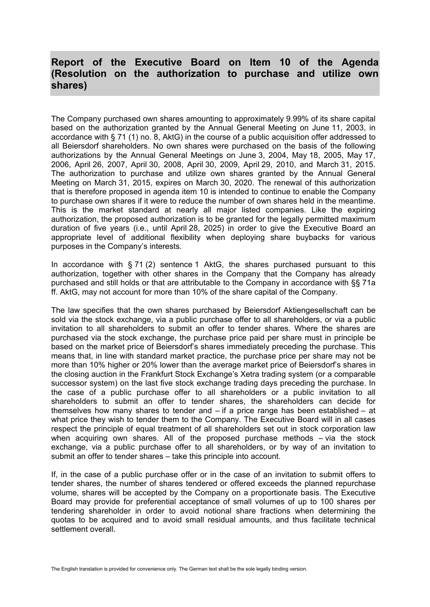## **Report of the Executive Board on Item 10 of the Agenda (Resolution on the authorization to purchase and utilize own shares)**

The Company purchased own shares amounting to approximately 9.99% of its share capital based on the authorization granted by the Annual General Meeting on June 11, 2003, in accordance with § 71 (1) no. 8, AktG) in the course of a public acquisition offer addressed to all Beiersdorf shareholders. No own shares were purchased on the basis of the following authorizations by the Annual General Meetings on June 3, 2004, May 18, 2005, May 17, 2006, April 26, 2007, April 30, 2008, April 30, 2009, April 29, 2010, and March 31, 2015. The authorization to purchase and utilize own shares granted by the Annual General Meeting on March 31, 2015, expires on March 30, 2020. The renewal of this authorization that is therefore proposed in agenda item 10 is intended to continue to enable the Company to purchase own shares if it were to reduce the number of own shares held in the meantime. This is the market standard at nearly all major listed companies. Like the expiring authorization, the proposed authorization is to be granted for the legally permitted maximum duration of five years (i.e., until April 28, 2025) in order to give the Executive Board an appropriate level of additional flexibility when deploying share buybacks for various purposes in the Company's interests.

In accordance with § 71 (2) sentence 1 AktG, the shares purchased pursuant to this authorization, together with other shares in the Company that the Company has already purchased and still holds or that are attributable to the Company in accordance with §§ 71a ff. AktG, may not account for more than 10% of the share capital of the Company.

The law specifies that the own shares purchased by Beiersdorf Aktiengesellschaft can be sold via the stock exchange, via a public purchase offer to all shareholders, or via a public invitation to all shareholders to submit an offer to tender shares. Where the shares are purchased via the stock exchange, the purchase price paid per share must in principle be based on the market price of Beiersdorf's shares immediately preceding the purchase. This means that, in line with standard market practice, the purchase price per share may not be more than 10% higher or 20% lower than the average market price of Beiersdorf's shares in the closing auction in the Frankfurt Stock Exchange's Xetra trading system (or a comparable successor system) on the last five stock exchange trading days preceding the purchase. In the case of a public purchase offer to all shareholders or a public invitation to all shareholders to submit an offer to tender shares, the shareholders can decide for themselves how many shares to tender and – if a price range has been established – at what price they wish to tender them to the Company. The Executive Board will in all cases respect the principle of equal treatment of all shareholders set out in stock corporation law when acquiring own shares. All of the proposed purchase methods  $-$  via the stock exchange, via a public purchase offer to all shareholders, or by way of an invitation to submit an offer to tender shares – take this principle into account.

If, in the case of a public purchase offer or in the case of an invitation to submit offers to tender shares, the number of shares tendered or offered exceeds the planned repurchase volume, shares will be accepted by the Company on a proportionate basis. The Executive Board may provide for preferential acceptance of small volumes of up to 100 shares per tendering shareholder in order to avoid notional share fractions when determining the quotas to be acquired and to avoid small residual amounts, and thus facilitate technical settlement overall

The English translation is provided for convenience only. The German text shall be the sole legally binding version.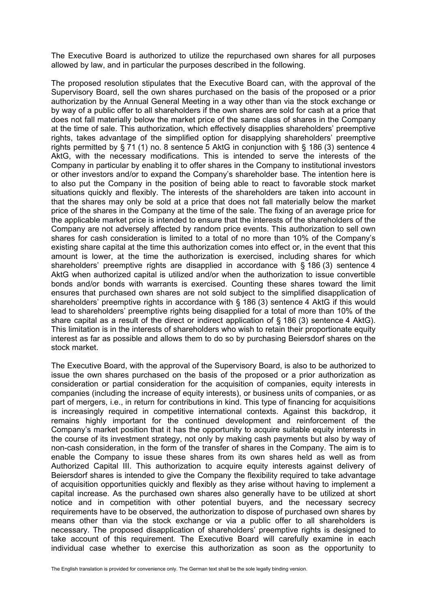The Executive Board is authorized to utilize the repurchased own shares for all purposes allowed by law, and in particular the purposes described in the following.

The proposed resolution stipulates that the Executive Board can, with the approval of the Supervisory Board, sell the own shares purchased on the basis of the proposed or a prior authorization by the Annual General Meeting in a way other than via the stock exchange or by way of a public offer to all shareholders if the own shares are sold for cash at a price that does not fall materially below the market price of the same class of shares in the Company at the time of sale. This authorization, which effectively disapplies shareholders' preemptive rights, takes advantage of the simplified option for disapplying shareholders' preemptive rights permitted by § 71 (1) no. 8 sentence 5 AktG in conjunction with § 186 (3) sentence 4 AktG, with the necessary modifications. This is intended to serve the interests of the Company in particular by enabling it to offer shares in the Company to institutional investors or other investors and/or to expand the Company's shareholder base. The intention here is to also put the Company in the position of being able to react to favorable stock market situations quickly and flexibly. The interests of the shareholders are taken into account in that the shares may only be sold at a price that does not fall materially below the market price of the shares in the Company at the time of the sale. The fixing of an average price for the applicable market price is intended to ensure that the interests of the shareholders of the Company are not adversely affected by random price events. This authorization to sell own shares for cash consideration is limited to a total of no more than 10% of the Company's existing share capital at the time this authorization comes into effect or, in the event that this amount is lower, at the time the authorization is exercised, including shares for which shareholders' preemptive rights are disapplied in accordance with  $\frac{1}{6}$  186 (3) sentence 4 AktG when authorized capital is utilized and/or when the authorization to issue convertible bonds and/or bonds with warrants is exercised. Counting these shares toward the limit ensures that purchased own shares are not sold subject to the simplified disapplication of shareholders' preemptive rights in accordance with § 186 (3) sentence 4 AktG if this would lead to shareholders' preemptive rights being disapplied for a total of more than 10% of the share capital as a result of the direct or indirect application of § 186 (3) sentence 4 AktG). This limitation is in the interests of shareholders who wish to retain their proportionate equity interest as far as possible and allows them to do so by purchasing Beiersdorf shares on the stock market.

The Executive Board, with the approval of the Supervisory Board, is also to be authorized to issue the own shares purchased on the basis of the proposed or a prior authorization as consideration or partial consideration for the acquisition of companies, equity interests in companies (including the increase of equity interests), or business units of companies, or as part of mergers, i.e., in return for contributions in kind. This type of financing for acquisitions is increasingly required in competitive international contexts. Against this backdrop, it remains highly important for the continued development and reinforcement of the Company's market position that it has the opportunity to acquire suitable equity interests in the course of its investment strategy, not only by making cash payments but also by way of non-cash consideration, in the form of the transfer of shares in the Company. The aim is to enable the Company to issue these shares from its own shares held as well as from Authorized Capital III. This authorization to acquire equity interests against delivery of Beiersdorf shares is intended to give the Company the flexibility required to take advantage of acquisition opportunities quickly and flexibly as they arise without having to implement a capital increase. As the purchased own shares also generally have to be utilized at short notice and in competition with other potential buyers, and the necessary secrecy requirements have to be observed, the authorization to dispose of purchased own shares by means other than via the stock exchange or via a public offer to all shareholders is necessary. The proposed disapplication of shareholders' preemptive rights is designed to take account of this requirement. The Executive Board will carefully examine in each individual case whether to exercise this authorization as soon as the opportunity to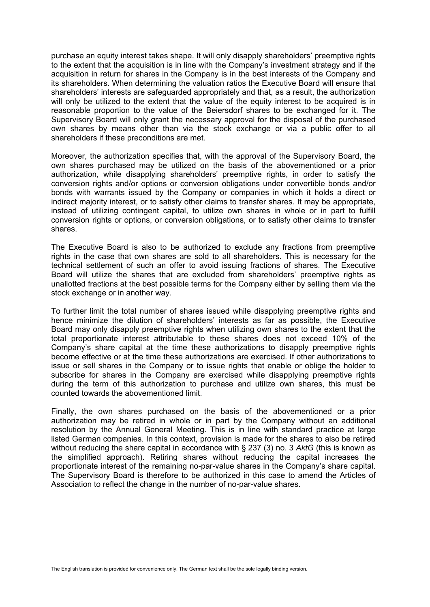purchase an equity interest takes shape. It will only disapply shareholders' preemptive rights to the extent that the acquisition is in line with the Company's investment strategy and if the acquisition in return for shares in the Company is in the best interests of the Company and its shareholders. When determining the valuation ratios the Executive Board will ensure that shareholders' interests are safeguarded appropriately and that, as a result, the authorization will only be utilized to the extent that the value of the equity interest to be acquired is in reasonable proportion to the value of the Beiersdorf shares to be exchanged for it. The Supervisory Board will only grant the necessary approval for the disposal of the purchased own shares by means other than via the stock exchange or via a public offer to all shareholders if these preconditions are met.

Moreover, the authorization specifies that, with the approval of the Supervisory Board, the own shares purchased may be utilized on the basis of the abovementioned or a prior authorization, while disapplying shareholders' preemptive rights, in order to satisfy the conversion rights and/or options or conversion obligations under convertible bonds and/or bonds with warrants issued by the Company or companies in which it holds a direct or indirect majority interest, or to satisfy other claims to transfer shares. It may be appropriate, instead of utilizing contingent capital, to utilize own shares in whole or in part to fulfill conversion rights or options, or conversion obligations, or to satisfy other claims to transfer shares.

The Executive Board is also to be authorized to exclude any fractions from preemptive rights in the case that own shares are sold to all shareholders. This is necessary for the technical settlement of such an offer to avoid issuing fractions of shares. The Executive Board will utilize the shares that are excluded from shareholders' preemptive rights as unallotted fractions at the best possible terms for the Company either by selling them via the stock exchange or in another way.

To further limit the total number of shares issued while disapplying preemptive rights and hence minimize the dilution of shareholders' interests as far as possible, the Executive Board may only disapply preemptive rights when utilizing own shares to the extent that the total proportionate interest attributable to these shares does not exceed 10% of the Company's share capital at the time these authorizations to disapply preemptive rights become effective or at the time these authorizations are exercised. If other authorizations to issue or sell shares in the Company or to issue rights that enable or oblige the holder to subscribe for shares in the Company are exercised while disapplying preemptive rights during the term of this authorization to purchase and utilize own shares, this must be counted towards the abovementioned limit.

Finally, the own shares purchased on the basis of the abovementioned or a prior authorization may be retired in whole or in part by the Company without an additional resolution by the Annual General Meeting. This is in line with standard practice at large listed German companies. In this context, provision is made for the shares to also be retired without reducing the share capital in accordance with § 237 (3) no. 3 *AktG* (this is known as the simplified approach). Retiring shares without reducing the capital increases the proportionate interest of the remaining no-par-value shares in the Company's share capital. The Supervisory Board is therefore to be authorized in this case to amend the Articles of Association to reflect the change in the number of no-par-value shares.